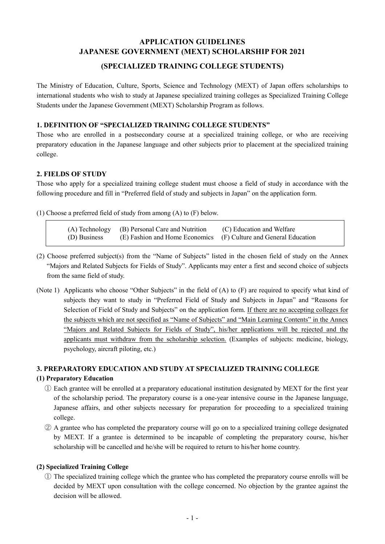# **APPLICATION GUIDELINES JAPANESE GOVERNMENT (MEXT) SCHOLARSHIP FOR 2021**

## **(SPECIALIZED TRAINING COLLEGE STUDENTS)**

The Ministry of Education, Culture, Sports, Science and Technology (MEXT) of Japan offers scholarships to international students who wish to study at Japanese specialized training colleges as Specialized Training College Students under the Japanese Government (MEXT) Scholarship Program as follows.

### **1. DEFINITION OF "SPECIALIZED TRAINING COLLEGE STUDENTS"**

Those who are enrolled in a postsecondary course at a specialized training college, or who are receiving preparatory education in the Japanese language and other subjects prior to placement at the specialized training college.

### **2. FIELDS OF STUDY**

Those who apply for a specialized training college student must choose a field of study in accordance with the following procedure and fill in "Preferred field of study and subjects in Japan" on the application form.

(1) Choose a preferred field of study from among (A) to (F) below.

| (A) Technology (B) Personal Care and Nutrition                                | (C) Education and Welfare |
|-------------------------------------------------------------------------------|---------------------------|
| (D) Business (E) Fashion and Home Economics (F) Culture and General Education |                           |

- (2) Choose preferred subject(s) from the "Name of Subjects" listed in the chosen field of study on the Annex "Majors and Related Subjects for Fields of Study". Applicants may enter a first and second choice of subjects from the same field of study.
- (Note 1) Applicants who choose "Other Subjects" in the field of (A) to (F) are required to specify what kind of subjects they want to study in "Preferred Field of Study and Subjects in Japan" and "Reasons for Selection of Field of Study and Subjects" on the application form. If there are no accepting colleges for the subjects which are not specified as "Name of Subjects" and "Main Learning Contents" in the Annex "Majors and Related Subjects for Fields of Study", his/her applications will be rejected and the applicants must withdraw from the scholarship selection. (Examples of subjects: medicine, biology, psychology, aircraft piloting, etc.)

### **3. PREPARATORY EDUCATION AND STUDY AT SPECIALIZED TRAINING COLLEGE**

### **(1) Preparatory Education**

- ① Each grantee will be enrolled at a preparatory educational institution designated by MEXT for the first year of the scholarship period. The preparatory course is a one-year intensive course in the Japanese language, Japanese affairs, and other subjects necessary for preparation for proceeding to a specialized training college.
- ② A grantee who has completed the preparatory course will go on to a specialized training college designated by MEXT. If a grantee is determined to be incapable of completing the preparatory course, his/her scholarship will be cancelled and he/she will be required to return to his/her home country.

### **(2) Specialized Training College**

① The specialized training college which the grantee who has completed the preparatory course enrolls will be decided by MEXT upon consultation with the college concerned. No objection by the grantee against the decision will be allowed.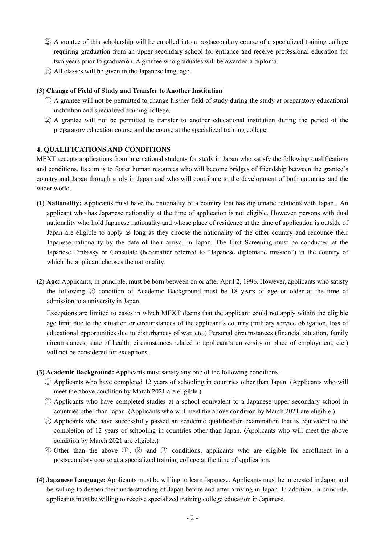- ② A grantee of this scholarship will be enrolled into a postsecondary course of a specialized training college requiring graduation from an upper secondary school for entrance and receive professional education for two years prior to graduation. A grantee who graduates will be awarded a diploma.
- ③ All classes will be given in the Japanese language.

### **(3) Change of Field of Study and Transfer to Another Institution**

- ① A grantee will not be permitted to change his/her field of study during the study at preparatory educational institution and specialized training college.
- ② A grantee will not be permitted to transfer to another educational institution during the period of the preparatory education course and the course at the specialized training college.

### **4. QUALIFICATIONS AND CONDITIONS**

MEXT accepts applications from international students for study in Japan who satisfy the following qualifications and conditions. Its aim is to foster human resources who will become bridges of friendship between the grantee's country and Japan through study in Japan and who will contribute to the development of both countries and the wider world.

- **(1) Nationality:** Applicants must have the nationality of a country that has diplomatic relations with Japan. An applicant who has Japanese nationality at the time of application is not eligible. However, persons with dual nationality who hold Japanese nationality and whose place of residence at the time of application is outside of Japan are eligible to apply as long as they choose the nationality of the other country and renounce their Japanese nationality by the date of their arrival in Japan. The First Screening must be conducted at the Japanese Embassy or Consulate (hereinafter referred to "Japanese diplomatic mission") in the country of which the applicant chooses the nationality.
- **(2) Age:** Applicants, in principle, must be born between on or after April 2, 1996. However, applicants who satisfy the following ③ condition of Academic Background must be 18 years of age or older at the time of admission to a university in Japan.

Exceptions are limited to cases in which MEXT deems that the applicant could not apply within the eligible age limit due to the situation or circumstances of the applicant's country (military service obligation, loss of educational opportunities due to disturbances of war, etc.) Personal circumstances (financial situation, family circumstances, state of health, circumstances related to applicant's university or place of employment, etc.) will not be considered for exceptions.

- **(3) Academic Background:** Applicants must satisfy any one of the following conditions.
	- ① Applicants who have completed 12 years of schooling in countries other than Japan. (Applicants who will meet the above condition by March 2021 are eligible.)
	- ② Applicants who have completed studies at a school equivalent to a Japanese upper secondary school in countries other than Japan. (Applicants who will meet the above condition by March 2021 are eligible.)
	- ③ Applicants who have successfully passed an academic qualification examination that is equivalent to the completion of 12 years of schooling in countries other than Japan. (Applicants who will meet the above condition by March 2021 are eligible.)
	- ④ Other than the above ①, ② and ③ conditions, applicants who are eligible for enrollment in a postsecondary course at a specialized training college at the time of application.
- **(4) Japanese Language:** Applicants must be willing to learn Japanese. Applicants must be interested in Japan and be willing to deepen their understanding of Japan before and after arriving in Japan. In addition, in principle, applicants must be willing to receive specialized training college education in Japanese.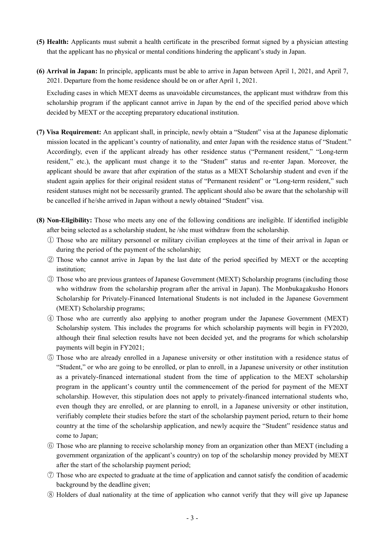- **(5) Health:** Applicants must submit a health certificate in the prescribed format signed by a physician attesting that the applicant has no physical or mental conditions hindering the applicant's study in Japan.
- **(6) Arrival in Japan:** In principle, applicants must be able to arrive in Japan between April 1, 2021, and April 7, 2021. Departure from the home residence should be on or after April 1, 2021.

Excluding cases in which MEXT deems as unavoidable circumstances, the applicant must withdraw from this scholarship program if the applicant cannot arrive in Japan by the end of the specified period above which decided by MEXT or the accepting preparatory educational institution.

- **(7) Visa Requirement:** An applicant shall, in principle, newly obtain a "Student" visa at the Japanese diplomatic mission located in the applicant's country of nationality, and enter Japan with the residence status of "Student." Accordingly, even if the applicant already has other residence status ("Permanent resident," "Long-term resident," etc.), the applicant must change it to the "Student" status and re-enter Japan. Moreover, the applicant should be aware that after expiration of the status as a MEXT Scholarship student and even if the student again applies for their original resident status of "Permanent resident" or "Long-term resident," such resident statuses might not be necessarily granted. The applicant should also be aware that the scholarship will be cancelled if he/she arrived in Japan without a newly obtained "Student" visa.
- **(8) Non-Eligibility:** Those who meets any one of the following conditions are ineligible. If identified ineligible after being selected as a scholarship student, he /she must withdraw from the scholarship.
	- ① Those who are military personnel or military civilian employees at the time of their arrival in Japan or during the period of the payment of the scholarship;
	- ② Those who cannot arrive in Japan by the last date of the period specified by MEXT or the accepting institution;
	- ③ Those who are previous grantees of Japanese Government (MEXT) Scholarship programs (including those who withdraw from the scholarship program after the arrival in Japan). The Monbukagakusho Honors Scholarship for Privately-Financed International Students is not included in the Japanese Government (MEXT) Scholarship programs;
	- ④ Those who are currently also applying to another program under the Japanese Government (MEXT) Scholarship system. This includes the programs for which scholarship payments will begin in FY2020, although their final selection results have not been decided yet, and the programs for which scholarship payments will begin in FY2021;
	- ⑤ Those who are already enrolled in a Japanese university or other institution with a residence status of "Student," or who are going to be enrolled, or plan to enroll, in a Japanese university or other institution as a privately-financed international student from the time of application to the MEXT scholarship program in the applicant's country until the commencement of the period for payment of the MEXT scholarship. However, this stipulation does not apply to privately-financed international students who, even though they are enrolled, or are planning to enroll, in a Japanese university or other institution, verifiably complete their studies before the start of the scholarship payment period, return to their home country at the time of the scholarship application, and newly acquire the "Student" residence status and come to Japan;
	- ⑥ Those who are planning to receive scholarship money from an organization other than MEXT (including a government organization of the applicant's country) on top of the scholarship money provided by MEXT after the start of the scholarship payment period;
	- ⑦ Those who are expected to graduate at the time of application and cannot satisfy the condition of academic background by the deadline given;
	- ⑧ Holders of dual nationality at the time of application who cannot verify that they will give up Japanese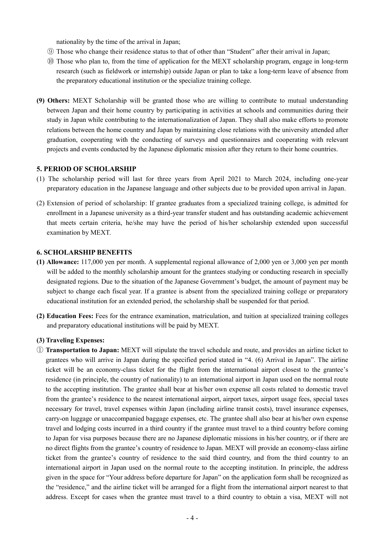nationality by the time of the arrival in Japan;

- ⑨ Those who change their residence status to that of other than "Student" after their arrival in Japan;
- ⑩ Those who plan to, from the time of application for the MEXT scholarship program, engage in long-term research (such as fieldwork or internship) outside Japan or plan to take a long-term leave of absence from the preparatory educational institution or the specialize training college.
- **(9) Others:** MEXT Scholarship will be granted those who are willing to contribute to mutual understanding between Japan and their home country by participating in activities at schools and communities during their study in Japan while contributing to the internationalization of Japan. They shall also make efforts to promote relations between the home country and Japan by maintaining close relations with the university attended after graduation, cooperating with the conducting of surveys and questionnaires and cooperating with relevant projects and events conducted by the Japanese diplomatic mission after they return to their home countries.

#### **5. PERIOD OF SCHOLARSHIP**

- (1) The scholarship period will last for three years from April 2021 to March 2024, including one-year preparatory education in the Japanese language and other subjects due to be provided upon arrival in Japan.
- (2) Extension of period of scholarship: If grantee graduates from a specialized training college, is admitted for enrollment in a Japanese university as a third-year transfer student and has outstanding academic achievement that meets certain criteria, he/she may have the period of his/her scholarship extended upon successful examination by MEXT.

### **6. SCHOLARSHIP BENEFITS**

- **(1) Allowance:** 117,000 yen per month. A supplemental regional allowance of 2,000 yen or 3,000 yen per month will be added to the monthly scholarship amount for the grantees studying or conducting research in specially designated regions. Due to the situation of the Japanese Government's budget, the amount of payment may be subject to change each fiscal year. If a grantee is absent from the specialized training college or preparatory educational institution for an extended period, the scholarship shall be suspended for that period.
- **(2) Education Fees:** Fees for the entrance examination, matriculation, and tuition at specialized training colleges and preparatory educational institutions will be paid by MEXT.

#### **(3) Traveling Expenses:**

① **Transportation to Japan:** MEXT will stipulate the travel schedule and route, and provides an airline ticket to grantees who will arrive in Japan during the specified period stated in "4. (6) Arrival in Japan". The airline ticket will be an economy-class ticket for the flight from the international airport closest to the grantee's residence (in principle, the country of nationality) to an international airport in Japan used on the normal route to the accepting institution. The grantee shall bear at his/her own expense all costs related to domestic travel from the grantee's residence to the nearest international airport, airport taxes, airport usage fees, special taxes necessary for travel, travel expenses within Japan (including airline transit costs), travel insurance expenses, carry-on luggage or unaccompanied baggage expenses, etc. The grantee shall also bear at his/her own expense travel and lodging costs incurred in a third country if the grantee must travel to a third country before coming to Japan for visa purposes because there are no Japanese diplomatic missions in his/her country, or if there are no direct flights from the grantee's country of residence to Japan. MEXT will provide an economy-class airline ticket from the grantee's country of residence to the said third country, and from the third country to an international airport in Japan used on the normal route to the accepting institution. In principle, the address given in the space for "Your address before departure for Japan" on the application form shall be recognized as the "residence," and the airline ticket will be arranged for a flight from the international airport nearest to that address. Except for cases when the grantee must travel to a third country to obtain a visa, MEXT will not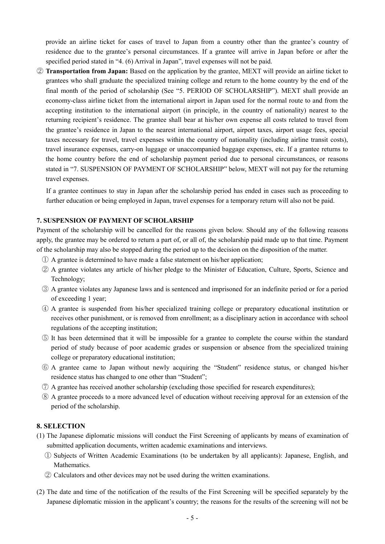provide an airline ticket for cases of travel to Japan from a country other than the grantee's country of residence due to the grantee's personal circumstances. If a grantee will arrive in Japan before or after the specified period stated in "4. (6) Arrival in Japan", travel expenses will not be paid.

② **Transportation from Japan:** Based on the application by the grantee, MEXT will provide an airline ticket to grantees who shall graduate the specialized training college and return to the home country by the end of the final month of the period of scholarship (See "5. PERIOD OF SCHOLARSHIP"). MEXT shall provide an economy-class airline ticket from the international airport in Japan used for the normal route to and from the accepting institution to the international airport (in principle, in the country of nationality) nearest to the returning recipient's residence. The grantee shall bear at his/her own expense all costs related to travel from the grantee's residence in Japan to the nearest international airport, airport taxes, airport usage fees, special taxes necessary for travel, travel expenses within the country of nationality (including airline transit costs), travel insurance expenses, carry-on luggage or unaccompanied baggage expenses, etc. If a grantee returns to the home country before the end of scholarship payment period due to personal circumstances, or reasons stated in "7. SUSPENSION OF PAYMENT OF SCHOLARSHIP" below, MEXT will not pay for the returning travel expenses.

If a grantee continues to stay in Japan after the scholarship period has ended in cases such as proceeding to further education or being employed in Japan, travel expenses for a temporary return will also not be paid.

### **7. SUSPENSION OF PAYMENT OF SCHOLARSHIP**

Payment of the scholarship will be cancelled for the reasons given below. Should any of the following reasons apply, the grantee may be ordered to return a part of, or all of, the scholarship paid made up to that time. Payment of the scholarship may also be stopped during the period up to the decision on the disposition of the matter.

- ① A grantee is determined to have made a false statement on his/her application;
- ② A grantee violates any article of his/her pledge to the Minister of Education, Culture, Sports, Science and Technology;
- ③ A grantee violates any Japanese laws and is sentenced and imprisoned for an indefinite period or for a period of exceeding 1 year;
- ④ A grantee is suspended from his/her specialized training college or preparatory educational institution or receives other punishment, or is removed from enrollment; as a disciplinary action in accordance with school regulations of the accepting institution;
- ⑤ It has been determined that it will be impossible for a grantee to complete the course within the standard period of study because of poor academic grades or suspension or absence from the specialized training college or preparatory educational institution;
- ⑥ A grantee came to Japan without newly acquiring the "Student" residence status, or changed his/her residence status has changed to one other than "Student";
- ⑦ A grantee has received another scholarship (excluding those specified for research expenditures);
- ⑧ A grantee proceeds to a more advanced level of education without receiving approval for an extension of the period of the scholarship.

#### **8. SELECTION**

- (1) The Japanese diplomatic missions will conduct the First Screening of applicants by means of examination of submitted application documents, written academic examinations and interviews.
	- ① Subjects of Written Academic Examinations (to be undertaken by all applicants): Japanese, English, and Mathematics.
	- ② Calculators and other devices may not be used during the written examinations.
- (2) The date and time of the notification of the results of the First Screening will be specified separately by the Japanese diplomatic mission in the applicant's country; the reasons for the results of the screening will not be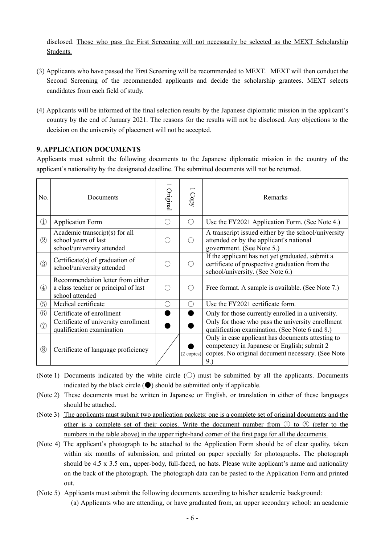disclosed. Those who pass the First Screening will not necessarily be selected as the MEXT Scholarship Students.

- (3) Applicants who have passed the First Screening will be recommended to MEXT. MEXT will then conduct the Second Screening of the recommended applicants and decide the scholarship grantees. MEXT selects candidates from each field of study.
- (4) Applicants will be informed of the final selection results by the Japanese diplomatic mission in the applicant's country by the end of January 2021. The reasons for the results will not be disclosed. Any objections to the decision on the university of placement will not be accepted.

### **9. APPLICATION DOCUMENTS**

Applicants must submit the following documents to the Japanese diplomatic mission in the country of the applicant's nationality by the designated deadline. The submitted documents will not be returned.

| No.               | Documents                                                                                    | Original                                      | Copy       | Remarks                                                                                                                                                      |
|-------------------|----------------------------------------------------------------------------------------------|-----------------------------------------------|------------|--------------------------------------------------------------------------------------------------------------------------------------------------------------|
| $\textcircled{1}$ | <b>Application Form</b>                                                                      | ( )                                           | ( )        | Use the FY2021 Application Form. (See Note 4.)                                                                                                               |
| $\circled{2}$     | Academic transcript(s) for all<br>school years of last<br>school/university attended         | $\left( \begin{array}{c} \end{array} \right)$ | ( )        | A transcript issued either by the school/university<br>attended or by the applicant's national<br>government. (See Note 5.)                                  |
| (3)               | Certificate $(s)$ of graduation of<br>school/university attended                             |                                               |            | If the applicant has not yet graduated, submit a<br>certificate of prospective graduation from the<br>school/university. (See Note 6.)                       |
| $\circled{4}$     | Recommendation letter from either<br>a class teacher or principal of last<br>school attended | €.                                            |            | Free format. A sample is available. (See Note 7.)                                                                                                            |
| $\circledS$       | Medical certificate                                                                          | $(\ )$                                        |            | Use the FY2021 certificate form.                                                                                                                             |
| $\circled6$       | Certificate of enrollment                                                                    |                                               |            | Only for those currently enrolled in a university.                                                                                                           |
| (7)               | Certificate of university enrollment<br>qualification examination                            |                                               |            | Only for those who pass the university enrollment<br>qualification examination. (See Note 6 and 8.)                                                          |
| $\circledS$       | Certificate of language proficiency                                                          |                                               | (2 copies) | Only in case applicant has documents attesting to<br>competency in Japanese or English; submit 2<br>copies. No original document necessary. (See Note<br>9.) |

- (Note 1) Documents indicated by the white circle  $(\bigcirc)$  must be submitted by all the applicants. Documents indicated by the black circle  $(\bullet)$  should be submitted only if applicable.
- (Note 2) These documents must be written in Japanese or English, or translation in either of these languages should be attached.
- (Note 3) The applicants must submit two application packets: one is a complete set of original documents and the other is a complete set of their copies. Write the document number from ① to ⑧ (refer to the numbers in the table above) in the upper right-hand corner of the first page for all the documents.
- (Note 4) The applicant's photograph to be attached to the Application Form should be of clear quality, taken within six months of submission, and printed on paper specially for photographs. The photograph should be 4.5 x 3.5 cm., upper-body, full-faced, no hats. Please write applicant's name and nationality on the back of the photograph. The photograph data can be pasted to the Application Form and printed out.
- (Note 5) Applicants must submit the following documents according to his/her academic background: (a) Applicants who are attending, or have graduated from, an upper secondary school: an academic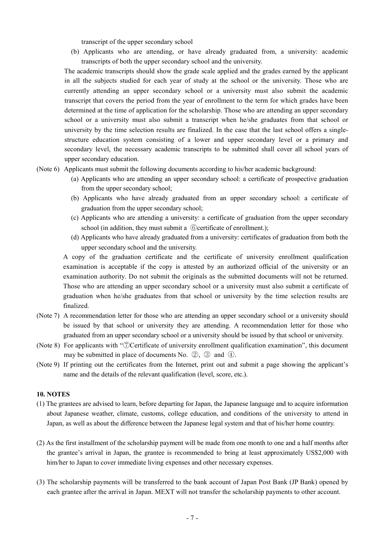transcript of the upper secondary school

(b) Applicants who are attending, or have already graduated from, a university: academic transcripts of both the upper secondary school and the university.

The academic transcripts should show the grade scale applied and the grades earned by the applicant in all the subjects studied for each year of study at the school or the university. Those who are currently attending an upper secondary school or a university must also submit the academic transcript that covers the period from the year of enrollment to the term for which grades have been determined at the time of application for the scholarship. Those who are attending an upper secondary school or a university must also submit a transcript when he/she graduates from that school or university by the time selection results are finalized. In the case that the last school offers a singlestructure education system consisting of a lower and upper secondary level or a primary and secondary level, the necessary academic transcripts to be submitted shall cover all school years of upper secondary education.

- (Note 6) Applicants must submit the following documents according to his/her academic background:
	- (a) Applicants who are attending an upper secondary school: a certificate of prospective graduation from the upper secondary school;
	- (b) Applicants who have already graduated from an upper secondary school: a certificate of graduation from the upper secondary school;
	- (c) Applicants who are attending a university: a certificate of graduation from the upper secondary school (in addition, they must submit a  $\omega$ ) (6) certificate of enrollment.);
	- (d) Applicants who have already graduated from a university: certificates of graduation from both the upper secondary school and the university.

A copy of the graduation certificate and the certificate of university enrollment qualification examination is acceptable if the copy is attested by an authorized official of the university or an examination authority. Do not submit the originals as the submitted documents will not be returned. Those who are attending an upper secondary school or a university must also submit a certificate of graduation when he/she graduates from that school or university by the time selection results are finalized.

- (Note 7) A recommendation letter for those who are attending an upper secondary school or a university should be issued by that school or university they are attending. A recommendation letter for those who graduated from an upper secondary school or a university should be issued by that school or university.
- (Note 8) For applicants with "⑦Certificate of university enrollment qualification examination", this document may be submitted in place of documents No. ②, ③ and ④.
- (Note 9) If printing out the certificates from the Internet, print out and submit a page showing the applicant's name and the details of the relevant qualification (level, score, etc.).

### **10. NOTES**

- (1) The grantees are advised to learn, before departing for Japan, the Japanese language and to acquire information about Japanese weather, climate, customs, college education, and conditions of the university to attend in Japan, as well as about the difference between the Japanese legal system and that of his/her home country.
- (2) As the first installment of the scholarship payment will be made from one month to one and a half months after the grantee's arrival in Japan, the grantee is recommended to bring at least approximately US\$2,000 with him/her to Japan to cover immediate living expenses and other necessary expenses.
- (3) The scholarship payments will be transferred to the bank account of Japan Post Bank (JP Bank) opened by each grantee after the arrival in Japan. MEXT will not transfer the scholarship payments to other account.